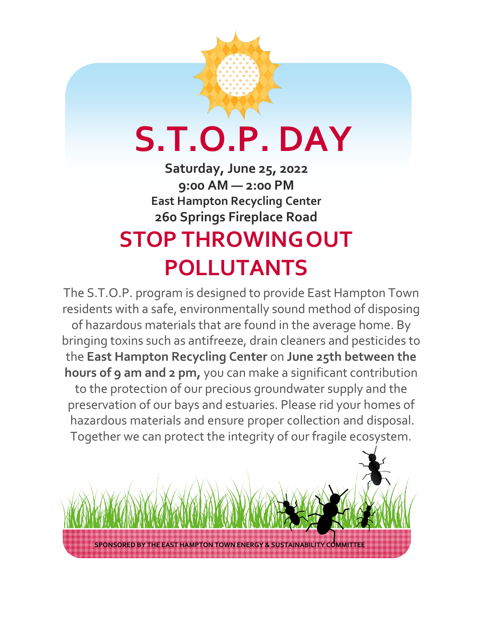## **S.T.O.P. DAY**

**Saturday, June 25, 2022 9:00 AM — 2:00 PM East Hampton Recycling Center 260 Springs Fireplace Road STOP THROWINGOUT POLLUTANTS**

The S.T.O.P. program is designed to provide East Hampton Town residents with a safe, environmentally sound method of disposing of hazardous materials that are found in the average home. By bringing toxins such as antifreeze, drain cleaners and pesticides to the **East Hampton Recycling Center** on **June 25th between the hours of 9 am and 2 pm,** you can make a significant contribution to the protection of our precious groundwater supply and the preservation of our bays and estuaries. Please rid your homes of hazardous materials and ensure proper collection and disposal. Together we can protect the integrity of our fragile ecosystem.